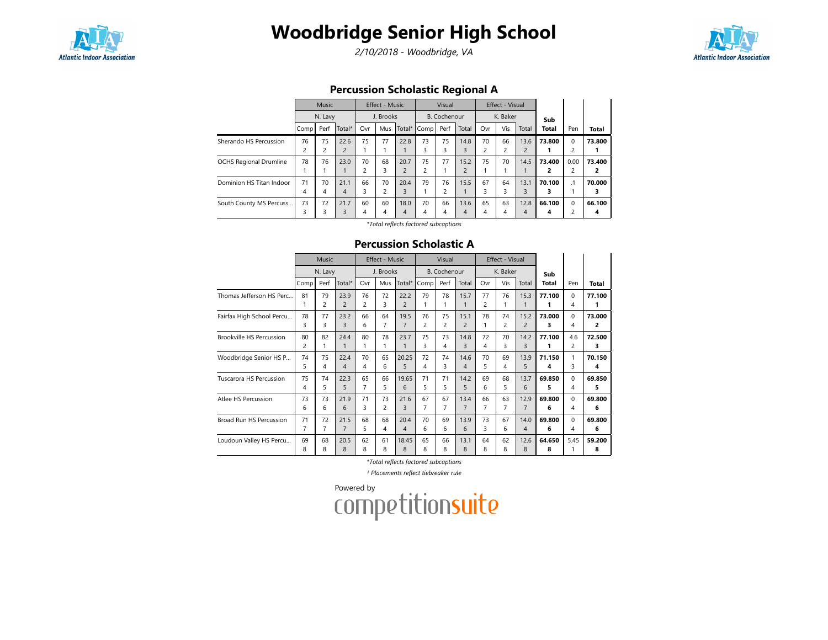

# Woodbridge Senior High School

2/10/2018 - Woodbridge, VA



### Percussion Scholastic Regional A

|                               | Music<br>N. Lavy |      |                | Effect - Music<br>J. Brooks |     |                | Visual<br>B. Cochenour |                |                | Effect - Visual<br>K. Baker |     |                |        |           |              |
|-------------------------------|------------------|------|----------------|-----------------------------|-----|----------------|------------------------|----------------|----------------|-----------------------------|-----|----------------|--------|-----------|--------------|
|                               |                  |      |                |                             |     |                |                        |                |                |                             |     |                | Sub    |           |              |
|                               | Comp             | Perf | Total*         | Ovr                         | Mus | Total*         | l Comp l               | Perf           | Total          | Ovr                         | Vis | Total          | Total  | Pen       | <b>Total</b> |
| Sherando HS Percussion        | 76               | 75   | 22.6           | 75                          | 77  | 22.8           | 73                     | 75             | 14.8           | 70                          | 66  | 13.6           | 73.800 | $\Omega$  | 73.800       |
|                               | $\overline{c}$   | c    | $\overline{2}$ | и                           |     |                | 3                      | 3              | 3              | $\overline{c}$              | 2   | $\overline{2}$ | ı      | 2         |              |
| <b>OCHS Regional Drumline</b> | 78               | 76   | 23.0           | 70                          | 68  | 20.7           | 75                     | 77             | 15.2           | 75                          | 70  | 14.5           | 73.400 | 0.00      | 73.400       |
|                               |                  |      |                | $\overline{c}$              | 3   | $\overline{c}$ | 2                      |                | $\overline{c}$ |                             |     |                | 2      | 2         | 2            |
| Dominion HS Titan Indoor      | 71               | 70   | 21.1           | 66                          | 70  | 20.4           | 79                     | 76             | 15.5           | 67                          | 64  | 13.1           | 70.100 | $\cdot$ 1 | 70.000       |
|                               | 4                | 4    | $\overline{4}$ | 3                           | 2   | 3              |                        | $\overline{c}$ |                | 3                           | 3   | 3              | з      |           | 3            |
| South County MS Percuss       | 73               | 72   | 21.7           | 60                          | 60  | 18.0           | 70                     | 66             | 13.6           | 65                          | 63  | 12.8           | 66.100 | $\Omega$  | 66.100       |
|                               | 3                | 3    | 3              | 4                           | 4   | $\overline{4}$ | 4                      | 4              | 4              | 4                           | 4   | 4              | 4      | 2         | 4            |

\*Total reflects factored subcaptions

#### Percussion Scholastic A

|                                 | <b>Music</b> |                      |                        |                | <b>Effect - Music</b> |                        |                | Visual<br>Effect - Visual |                |                      |                |                |              |                                                                                                                             |             |
|---------------------------------|--------------|----------------------|------------------------|----------------|-----------------------|------------------------|----------------|---------------------------|----------------|----------------------|----------------|----------------|--------------|-----------------------------------------------------------------------------------------------------------------------------|-------------|
|                                 | N. Lavy      |                      |                        | J. Brooks      |                       | <b>B.</b> Cochenour    |                |                           | K. Baker       |                      |                | Sub            |              |                                                                                                                             |             |
|                                 | Comp         | Perf                 | Total*                 | Ovr            | Mus                   | Total*                 | Comp           | Perf                      | Total          | Ovr                  | Vis            | Total          | <b>Total</b> | Pen                                                                                                                         | Total       |
| Thomas Jefferson HS Perc        | 81<br>1      | 79<br>$\overline{c}$ | 23.9<br>$\overline{2}$ | 76<br>2        | 72<br>3               | 22.2<br>$\overline{c}$ | 79             | 78<br>1                   | 15.7           | 77<br>$\overline{c}$ | 76             | 15.3           | 77.100       | $\Omega$                                                                                                                    | 77.100<br>1 |
|                                 |              |                      |                        |                |                       |                        |                |                           |                |                      |                |                |              |                                                                                                                             |             |
| Fairfax High School Percu       | 78           | 77                   | 23.2                   | 66             | 64                    | 19.5                   | 76             | 75                        | 15.1           | 78                   | 74             | 15.2           | 73.000       |                                                                                                                             | 73.000      |
|                                 | 3            | 3                    | 3                      | 6              | $\overline{7}$        | $\overline{7}$         | $\overline{c}$ | 2                         | $\overline{c}$ | 1                    | $\overline{c}$ | $\overline{2}$ | 3            | 4<br>$\Omega$<br>4<br>4.6<br>$\overline{c}$<br>$\mathbf{1}$<br>3<br>$\Omega$<br>4<br>$\Omega$<br>4<br>$\Omega$<br>4<br>5.45 | 2           |
| <b>Brookville HS Percussion</b> | 80           | 82                   | 24.4                   | 80             | 78                    | 23.7                   | 75             | 73                        | 14.8           | 72                   | 70             | 14.2           | 77.100       |                                                                                                                             | 72.500      |
|                                 | 2            | 1                    | $\mathbf{1}$           | 1              | 1                     | 1                      | 3              | 4                         | 3              | 4                    | 3              | 3              | 1            |                                                                                                                             | 3           |
| Woodbridge Senior HS P          | 74           | 75                   | 22.4                   | 70             | 65                    | 20.25                  | 72             | 74                        | 14.6           | 70                   | 69             | 13.9           | 71.150       |                                                                                                                             | 70.150      |
|                                 | 5            | 4                    | 4                      | 4              | 6                     | 5                      | 4              | 3                         | 4              | 5                    | 4              | 5              | 4            |                                                                                                                             | 4           |
| <b>Tuscarora HS Percussion</b>  | 75           | 74                   | 22.3                   | 65             | 66                    | 19.65                  | 71             | 71                        | 14.2           | 69                   | 68             | 13.7           | 69.850       |                                                                                                                             | 69.850      |
|                                 | 4            | 5                    | 5                      | $\overline{7}$ | 5                     | 6                      | 5              | 5                         | 5              | 6                    | 5              | 6              | 5            |                                                                                                                             | 5           |
| Atlee HS Percussion             | 73           | 73                   | 21.9                   | 71             | 73                    | 21.6                   | 67             | 67                        | 13.4           | 66                   | 63             | 12.9           | 69.800       |                                                                                                                             | 69.800      |
|                                 | 6            | 6                    | 6                      | 3              | $\overline{c}$        | 3                      | 7              | 7                         | $\overline{7}$ | 7                    | 7              | $\overline{7}$ | 6            |                                                                                                                             | 6           |
| Broad Run HS Percussion         | 71           | 72                   | 21.5                   | 68             | 68                    | 20.4                   | 70             | 69                        | 13.9           | 73                   | 67             | 14.0           | 69.800       |                                                                                                                             | 69.800      |
|                                 | 7            | 7                    | $\overline{7}$         | 5              | 4                     | 4                      | 6              | 6                         | 6              | 3                    | 6              | 4              | 6            |                                                                                                                             | 6           |
| Loudoun Valley HS Percu         | 69           | 68                   | 20.5                   | 62             | 61                    | 18.45                  | 65             | 66                        | 13.1           | 64                   | 62             | 12.6           | 64.650       |                                                                                                                             | 59.200      |
|                                 | 8            | 8                    | 8                      | 8              | 8                     | 8                      | 8              | 8                         | 8              | 8                    | 8              | 8              | 8            |                                                                                                                             | 8           |

\*Total reflects factored subcaptions

† Placements reflect tiebreaker rule